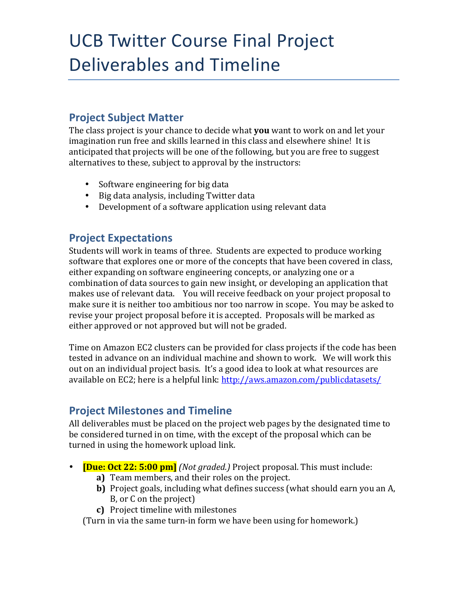## UCB Twitter Course Final Project Deliverables and Timeline

### **Project Subject Matter**

The class project is your chance to decide what **you** want to work on and let your imagination run free and skills learned in this class and elsewhere shine! It is anticipated that projects will be one of the following, but you are free to suggest alternatives to these, subject to approval by the instructors:

- Software engineering for big data
- Big data analysis, including Twitter data
- Development of a software application using relevant data

### **Project Expectations**

Students will work in teams of three. Students are expected to produce working software that explores one or more of the concepts that have been covered in class, either expanding on software engineering concepts, or analyzing one or a combination of data sources to gain new insight, or developing an application that makes use of relevant data. You will receive feedback on your project proposal to make sure it is neither too ambitious nor too narrow in scope. You may be asked to revise your project proposal before it is accepted. Proposals will be marked as either approved or not approved but will not be graded.

Time on Amazon EC2 clusters can be provided for class projects if the code has been tested in advance on an individual machine and shown to work. We will work this out on an individual project basis. It's a good idea to look at what resources are available on EC2; here is a helpful link:  $http://aws.amazon.com/public datasets/$ 

#### **Project Milestones and Timeline**

All deliverables must be placed on the project web pages by the designated time to be considered turned in on time, with the except of the proposal which can be turned in using the homework upload link.

- **[Due: Oct 22: 5:00 pm]** *(Not graded.)* Project proposal. This must include:
	- **a)** Team members, and their roles on the project.
	- **b)** Project goals, including what defines success (what should earn you an A, B, or C on the project)
	- **c)** Project timeline with milestones

(Turn in via the same turn-in form we have been using for homework.)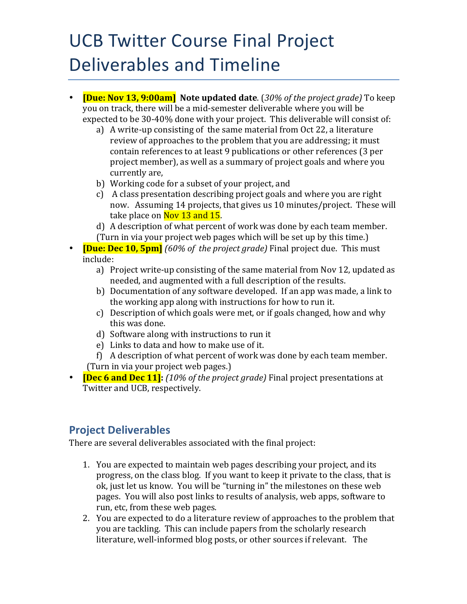# UCB Twitter Course Final Project Deliverables and Timeline

- **[Due: Nov 13, 9:00am]** Note updated date. (30% of the project grade) To keep you on track, there will be a mid-semester deliverable where you will be expected to be 30-40% done with your project. This deliverable will consist of:
	- a) A write-up consisting of the same material from Oct 22, a literature review of approaches to the problem that you are addressing; it must contain references to at least 9 publications or other references (3 per project member), as well as a summary of project goals and where you currently are,
	- b) Working code for a subset of your project, and
	- c) A class presentation describing project goals and where you are right now. Assuming 14 projects, that gives us 10 minutes/project. These will take place on Nov 13 and 15.
	- d) A description of what percent of work was done by each team member. (Turn in via your project web pages which will be set up by this time.)
- **[Due: Dec 10, 5pm]** *(60% of the project grade)* Final project due. This must include:
	- a) Project write-up consisting of the same material from Nov 12, updated as needed, and augmented with a full description of the results.
	- b) Documentation of any software developed. If an app was made, a link to the working app along with instructions for how to run it.
	- c) Description of which goals were met, or if goals changed, how and why this was done.
	- d) Software along with instructions to run it
	- e) Links to data and how to make use of it.
	- f) A description of what percent of work was done by each team member. (Turn in via your project web pages.)
- **[Dec 6 and Dec 11]:** *(10% of the project grade)* Final project presentations at Twitter and UCB, respectively.

#### **Project Deliverables**

There are several deliverables associated with the final project:

- 1. You are expected to maintain web pages describing your project, and its progress, on the class blog. If you want to keep it private to the class, that is ok, just let us know. You will be "turning in" the milestones on these web pages. You will also post links to results of analysis, web apps, software to run, etc, from these web pages.
- 2. You are expected to do a literature review of approaches to the problem that you are tackling. This can include papers from the scholarly research literature, well-informed blog posts, or other sources if relevant. The